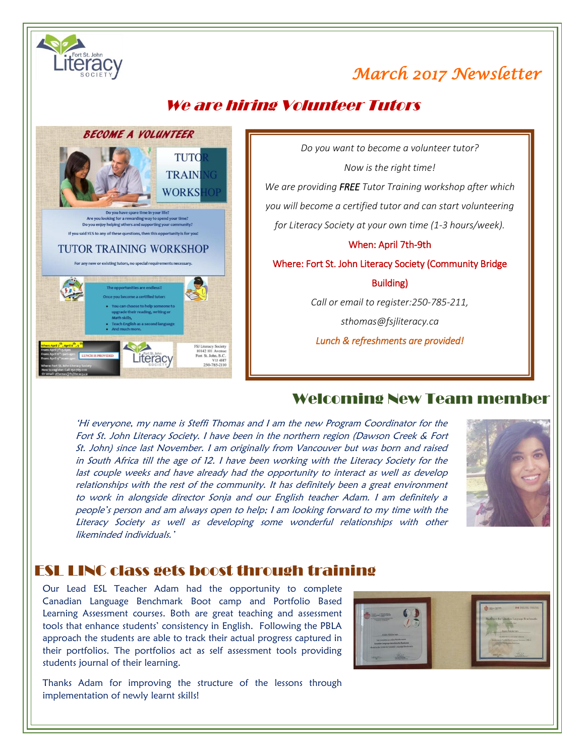

## *March 2017 Newsletter*

### We are hiring Volunteer Tutors



*Do you want to become a volunteer tutor? Now is the right time! We are providing FREE Tutor Training workshop after which you will become a certified tutor and can start volunteering for Literacy Society at your own time (1-3 hours/week).* When: April 7th-9th Where: Fort St. John Literacy Society (Community Bridge Building) *Call or email to register:250-785-211, sthomas@fsjliteracy.ca Lunch & refreshments are provided!* 

#### Welcoming New Team member

'Hi everyone, my name is Steffi Thomas and I am the new Program Coordinator for the Fort St. John Literacy Society. I have been in the northern region (Dawson Creek & Fort St. John) since last November. I am originally from Vancouver but was born and raised in South Africa till the age of 12. I have been working with the Literacy Society for the last couple weeks and have already had the opportunity to interact as well as develop relationships with the rest of the community. It has definitely been a great environment to work in alongside director Sonja and our English teacher Adam. I am definitely a people's person and am always open to help; I am looking forward to my time with the Literacy Society as well as developing some wonderful relationships with other likeminded individuals.'



#### ESL LINC class gets boost through training

ں<br>ا Our Lead ESL Teacher Adam had the opportunity to complete Canadian Language Benchmark Boot camp and Portfolio Based Learning Assessment courses. Both are great teaching and assessment tools that enhance students' consistency in English. Following the PBLA approach the students are able to track their actual progress captured in their portfolios. The portfolios act as self assessment tools providing students journal of their learning.



Thanks Adam for improving the structure of the lessons through implementation of newly learnt skills!